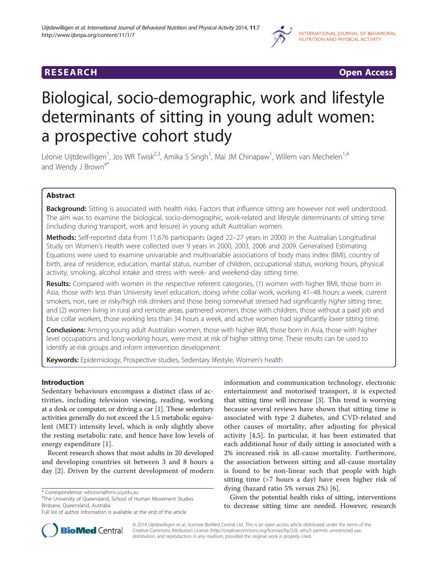

**RESEARCH CHINESE ARCH CHINESE ARCH CHINESE ARCH <b>CHINESE ARCH** 

# Biological, socio-demographic, work and lifestyle determinants of sitting in young adult women: a prospective cohort study

Léonie Uijtdewilligen<sup>1</sup>, Jos WR Twisk<sup>2,3</sup>, Amika S Singh<sup>1</sup>, Mai JM Chinapaw<sup>1</sup>, Willem van Mechelen<sup>1,4</sup> and Wendy J Brown $4^*$ 

# Abstract

**Background:** Sitting is associated with health risks. Factors that influence sitting are however not well understood. The aim was to examine the biological, socio-demographic, work-related and lifestyle determinants of sitting time (including during transport, work and leisure) in young adult Australian women.

Methods: Self-reported data from 11,676 participants (aged 22–27 years in 2000) in the Australian Longitudinal Study on Women's Health were collected over 9 years in 2000, 2003, 2006 and 2009. Generalised Estimating Equations were used to examine univariable and multivariable associations of body mass index (BMI), country of birth, area of residence, education, marital status, number of children, occupational status, working hours, physical activity, smoking, alcohol intake and stress with week- and weekend-day sitting time.

Results: Compared with women in the respective referent categories, (1) women with higher BMI, those born in Asia, those with less than University level education, doing white collar work, working 41–48 hours a week, current smokers, non, rare or risky/high risk drinkers and those being somewhat stressed had significantly higher sitting time; and (2) women living in rural and remote areas, partnered women, those with children, those without a paid job and blue collar workers, those working less than 34 hours a week, and active women had significantly lower sitting time.

Conclusions: Among young adult Australian women, those with higher BMI, those born in Asia, those with higher level occupations and long working hours, were most at risk of higher sitting time. These results can be used to identify at-risk groups and inform intervention development.

Keywords: Epidemiology, Prospective studies, Sedentary lifestyle, Women's health

# Introduction

Sedentary behaviours encompass a distinct class of activities, including television viewing, reading, working at a desk or computer, or driving a car [[1\]](#page-9-0). These sedentary activities generally do not exceed the 1.5 metabolic equivalent (MET) intensity level, which is only slightly above the resting metabolic rate, and hence have low levels of energy expenditure [[1](#page-9-0)].

Recent research shows that most adults in 20 developed and developing countries sit between 3 and 8 hours a day [[2\]](#page-9-0). Driven by the current development of modern

<sup>4</sup>The University of Queensland, School of Human Movement Studies Brisbane, Queensland, Australia

information and communication technology, electronic entertainment and motorised transport, it is expected that sitting time will increase [\[3](#page-9-0)]. This trend is worrying because several reviews have shown that sitting time is associated with type 2 diabetes, and CVD-related and other causes of mortality, after adjusting for physical activity [\[4](#page-9-0),[5\]](#page-9-0). In particular, it has been estimated that each additional hour of daily sitting is associated with a 2% increased risk in all-cause mortality. Furthermore, the association between sitting and all-cause mortality is found to be non-linear such that people with high sitting time (>7 hours a day) have even higher risk of dying (hazard ratio 5% versus 2%) [\[6](#page-9-0)].

Given the potential health risks of sitting, interventions to decrease sitting time are needed. However, research



© 2014 Uijtdewilligen et al.; licensee BioMed Central Ltd. This is an open access article distributed under the terms of the Creative Commons Attribution License (<http://creativecommons.org/licenses/by/2.0>), which permits unrestricted use, distribution, and reproduction in any medium, provided the original work is properly cited.

<sup>\*</sup> Correspondence: [wbrown@hms.uq.edu.au](mailto:wbrown@hms.uq.edu.au) <sup>4</sup>

Full list of author information is available at the end of the article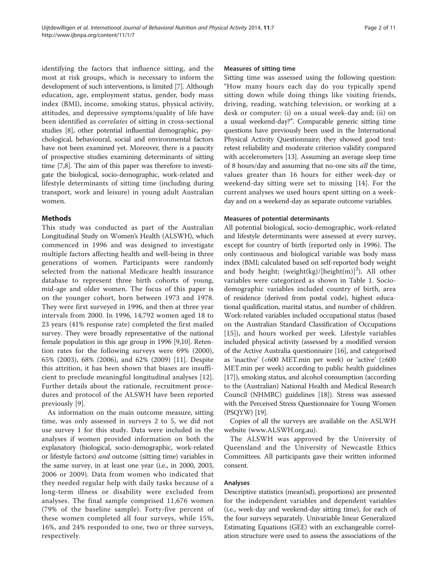identifying the factors that influence sitting, and the most at risk groups, which is necessary to inform the development of such interventions, is limited [[7](#page-9-0)]. Although education, age, employment status, gender, body mass index (BMI), income, smoking status, physical activity, attitudes, and depressive symptoms/quality of life have been identified as correlates of sitting in cross-sectional studies [[8](#page-9-0)], other potential influential demographic, psychological, behavioural, social and environmental factors have not been examined yet. Moreover, there is a paucity of prospective studies examining determinants of sitting time [[7,8\]](#page-9-0). The aim of this paper was therefore to investigate the biological, socio-demographic, work-related and lifestyle determinants of sitting time (including during transport, work and leisure) in young adult Australian women.

# Methods

This study was conducted as part of the Australian Longitudinal Study on Women's Health (ALSWH), which commenced in 1996 and was designed to investigate multiple factors affecting health and well-being in three generations of women. Participants were randomly selected from the national Medicare health insurance database to represent three birth cohorts of young, mid-age and older women. The focus of this paper is on the younger cohort, born between 1973 and 1978. They were first surveyed in 1996, and then at three year intervals from 2000. In 1996, 14,792 women aged 18 to 23 years (41% response rate) completed the first mailed survey. They were broadly representative of the national female population in this age group in 1996 [\[9,10\]](#page-9-0). Retention rates for the following surveys were 69% (2000), 65% (2003), 68% (2006), and 62% (2009) [[11\]](#page-9-0). Despite this attrition, it has been shown that biases are insufficient to preclude meaningful longitudinal analyses [[12](#page-9-0)]. Further details about the rationale, recruitment procedures and protocol of the ALSWH have been reported previously [[9\]](#page-9-0).

As information on the main outcome measure, sitting time, was only assessed in surveys 2 to 5, we did not use survey 1 for this study. Data were included in the analyses if women provided information on both the explanatory (biological, socio-demographic, work-related or lifestyle factors) *and* outcome (sitting time) variables in the same survey, in at least one year (i.e., in 2000, 2003, 2006 or 2009). Data from women who indicated that they needed regular help with daily tasks because of a long-term illness or disability were excluded from analyses. The final sample comprised 11,676 women (79% of the baseline sample). Forty-five percent of these women completed all four surveys, while 15%, 16%, and 24% responded to one, two or three surveys, respectively.

### Measures of sitting time

Sitting time was assessed using the following question: "How many hours each day do you typically spend sitting down while doing things like visiting friends, driving, reading, watching television, or working at a desk or computer: (i) on a usual week-day and; (ii) on a usual weekend-day?". Comparable generic sitting time questions have previously been used in the International Physical Activity Questionnaire; they showed good testretest reliability and moderate criterion validity compared with accelerometers [\[13\]](#page-9-0). Assuming an average sleep time of 8 hours/day and assuming that no-one sits all the time, values greater than 16 hours for either week-day or weekend-day sitting were set to missing [[14\]](#page-9-0). For the current analyses we used hours spent sitting on a weekday and on a weekend-day as separate outcome variables.

# Measures of potential determinants

All potential biological, socio-demographic, work-related and lifestyle determinants were assessed at every survey, except for country of birth (reported only in 1996). The only continuous and biological variable was body mass index (BMI; calculated based on self-reported body weight and body height; (weight(kg)/[height(m)]<sup>2</sup>). All other variables were categorized as shown in Table [1](#page-2-0). Sociodemographic variables included country of birth, area of residence (derived from postal code), highest educational qualification, marital status, and number of children. Work-related variables included occupational status (based on the Australian Standard Classification of Occupations [[15](#page-10-0)]), and hours worked per week. Lifestyle variables included physical activity (assessed by a modified version of the Active Australia questionnaire [\[16\]](#page-10-0), and categorised as 'inactive' (<600 MET.min per week) or 'active' (≥600 MET.min per week) according to public health guidelines [[17](#page-10-0)]), smoking status, and alcohol consumption (according to the (Australian) National Health and Medical Research Council (NHMRC) guidelines [[18](#page-10-0)]). Stress was assessed with the Perceived Stress Questionnaire for Young Women (PSQYW) [[19](#page-10-0)].

Copies of all the surveys are available on the ASLWH website [\(www.ALSWH.org.au](http://www.ALSWH.org.au)).

The ALSWH was approved by the University of Queensland and the University of Newcastle Ethics Committees. All participants gave their written informed consent.

# Analyses

Descriptive statistics (mean(sd), proportions) are presented for the independent variables and dependent variables (i.e., week-day and weekend-day sitting time), for each of the four surveys separately. Univariable linear Generalized Estimating Equations (GEE) with an exchangeable correlation structure were used to assess the associations of the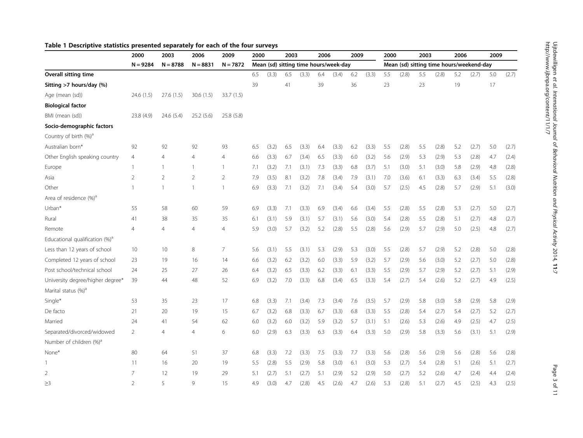# <span id="page-2-0"></span>Table 1 Descriptive statistics presented separately for each of the four surveys

|                                            | 2000           | 2003           | 2006           | 2009           | 2000 |       | 2003 |                                       | 2006 |       | 2009 |       | 2000 |       | 2003 |       | 2006 |                                          | 2009 |       |
|--------------------------------------------|----------------|----------------|----------------|----------------|------|-------|------|---------------------------------------|------|-------|------|-------|------|-------|------|-------|------|------------------------------------------|------|-------|
|                                            | $N = 9284$     | $N = 8788$     | $N = 8831$     | $N = 7872$     |      |       |      | Mean (sd) sitting time hours/week-day |      |       |      |       |      |       |      |       |      | Mean (sd) sitting time hours/weekend-day |      |       |
| Overall sitting time                       |                |                |                |                | 6.5  | (3.3) | 6.5  | (3.3)                                 | 6.4  | (3.4) | 6.2  | (3.3) | 5.5  | (2.8) | 5.5  | (2.8) | 5.2  | (2.7)                                    | 5.0  | (2.7) |
| Sitting >7 hours/day (%)                   |                |                |                |                | 39   |       | 41   |                                       | 39   |       | 36   |       | 23   |       | 23   |       | 19   |                                          | 17   |       |
| Age (mean (sd))                            | 24.6 (1.5)     | 27.6 (1.5)     | 30.6(1.5)      | 33.7 (1.5)     |      |       |      |                                       |      |       |      |       |      |       |      |       |      |                                          |      |       |
| <b>Biological factor</b>                   |                |                |                |                |      |       |      |                                       |      |       |      |       |      |       |      |       |      |                                          |      |       |
| BMI (mean (sd))                            | 23.8 (4.9)     | 24.6(5.4)      | 25.2(5.6)      | 25.8 (5.8)     |      |       |      |                                       |      |       |      |       |      |       |      |       |      |                                          |      |       |
| Socio-demographic factors                  |                |                |                |                |      |       |      |                                       |      |       |      |       |      |       |      |       |      |                                          |      |       |
| Country of birth (%) <sup>a</sup>          |                |                |                |                |      |       |      |                                       |      |       |      |       |      |       |      |       |      |                                          |      |       |
| Australian born*                           | 92             | 92             | 92             | 93             | 6.5  | (3.2) | 6.5  | (3.3)                                 | 6.4  | (3.3) | 6.2  | (3.3) | 5.5  | (2.8) | 5.5  | (2.8) | 5.2  | (2.7)                                    | 5.0  | (2.7) |
| Other English speaking country             | 4              | 4              | 4              | 4              | 6.6  | (3.3) | 6.7  | (3.4)                                 | 6.5  | (3.3) | 6.0  | (3.2) | 5.6  | (2.9) | 5.3  | (2.9) | 5.3  | (2.8)                                    | 4.7  | (2.4) |
| Europe                                     | $\mathbf{1}$   | $\mathbf{1}$   | $\mathbf{1}$   | 1              | 7.1  | (3.2) | 7.1  | (3.1)                                 | 7.3  | (3.3) | 6.8  | (3.7) | 5.1  | (3.0) | 5.1  | (3.0) | 5.8  | (2.9)                                    | 4.8  | (2.8) |
| Asia                                       | $\overline{2}$ | $\overline{2}$ | $\overline{2}$ | $\overline{2}$ | 7.9  | (3.5) | 8.1  | (3.2)                                 | 7.8  | (3.4) | 7.9  | (3.1) | 7.0  | (3.6) | 6.1  | (3.3) | 6.3  | (3.4)                                    | 5.5  | (2.8) |
| Other                                      | $\mathbf{1}$   | $\mathbf{1}$   | $\mathbf{1}$   | 1              | 6.9  | (3.3) | 7.1  | (3.2)                                 | 7.1  | (3.4) | 5.4  | (3.0) | 5.7  | (2.5) | 4.5  | (2.8) | 5.7  | (2.9)                                    | 5.1  | (3.0) |
| Area of residence (%) <sup>a</sup>         |                |                |                |                |      |       |      |                                       |      |       |      |       |      |       |      |       |      |                                          |      |       |
| Urban*                                     | 55             | 58             | 60             | 59             | 6.9  | (3.3) | 7.1  | (3.3)                                 | 6.9  | (3.4) | 6.6  | (3.4) | 5.5  | (2.8) | 5.5  | (2.8) | 5.3  | (2.7)                                    | 5.0  | (2.7) |
| Rural                                      | 41             | 38             | 35             | 35             | 6.1  | (3.1) | 5.9  | (3.1)                                 | 5.7  | (3.1) | 5.6  | (3.0) | 5.4  | (2.8) | 5.5  | (2.8) | 5.1  | (2.7)                                    | 4.8  | (2.7) |
| Remote                                     | 4              | 4              | $\overline{4}$ | 4              | 5.9  | (3.0) | 5.7  | (3.2)                                 | 5.2  | (2.8) | 5.5  | (2.8) | 5.6  | (2.9) | 5.7  | (2.9) | 5.0  | (2.5)                                    | 4.8  | (2.7) |
| Educational qualification (%) <sup>a</sup> |                |                |                |                |      |       |      |                                       |      |       |      |       |      |       |      |       |      |                                          |      |       |
| Less than 12 years of school               | 10             | 10             | 8              | $\overline{7}$ | 5.6  | (3.1) | 5.5  | (3.1)                                 | 5.3  | (2.9) | 5.3  | (3.0) | 5.5  | (2.8) | 5.7  | (2.9) | 5.2  | (2.8)                                    | 5.0  | (2.8) |
| Completed 12 years of school               | 23             | 19             | 16             | 14             | 6.6  | (3.2) | 6.2  | (3.2)                                 | 6.0  | (3.3) | 5.9  | (3.2) | 5.7  | (2.9) | 5.6  | (3.0) | 5.2  | (2.7)                                    | 5.0  | (2.8) |
| Post school/technical school               | 24             | 25             | 27             | 26             | 6.4  | (3.2) | 6.5  | (3.3)                                 | 6.2  | (3.3) | 6.1  | (3.3) | 5.5  | (2.9) | 5.7  | (2.9) | 5.2  | (2.7)                                    | 5.1  | (2.9) |
| University degree/higher degree*           | 39             | 44             | 48             | 52             | 6.9  | (3.2) | 7.0  | (3.3)                                 | 6.8  | (3.4) | 6.5  | (3.3) | 5.4  | (2.7) | 5.4  | (2.6) | 5.2  | (2.7)                                    | 4.9  | (2.5) |
| Marital status (%) <sup>a</sup>            |                |                |                |                |      |       |      |                                       |      |       |      |       |      |       |      |       |      |                                          |      |       |
| Single*                                    | 53             | 35             | 23             | 17             | 6.8  | (3.3) | 7.1  | (3.4)                                 | 7.3  | (3.4) | 7.6  | (3.5) | 5.7  | (2.9) | 5.8  | (3.0) | 5.8  | (2.9)                                    | 5.8  | (2.9) |
| De facto                                   | 21             | 20             | 19             | 15             | 6.7  | (3.2) | 6.8  | (3.3)                                 | 6.7  | (3.3) | 6.8  | (3.3) | 5.5  | (2.8) | 5.4  | (2.7) | 5.4  | (2.7)                                    | 5.2  | (2.7) |
| Married                                    | 24             | 41             | 54             | 62             | 6.0  | (3.2) | 6.0  | (3.2)                                 | 5.9  | (3.2) | 5.7  | (3.1) | 5.1  | (2.6) | 5.3  | (2.6) | 4.9  | (2.5)                                    | 4.7  | (2.5) |
| Separated/divorced/widowed                 | 2              | 4              | $\overline{4}$ | 6              | 6.0  | (2.9) | 6.3  | (3.3)                                 | 6.3  | (3.3) | 6.4  | (3.3) | 5.0  | (2.9) | 5.8  | (3.3) | 5.6  | (3.1)                                    | 5.1  | (2.9) |
| Number of children (%) <sup>a</sup>        |                |                |                |                |      |       |      |                                       |      |       |      |       |      |       |      |       |      |                                          |      |       |
| None*                                      | 80             | 64             | 51             | 37             | 6.8  | (3.3) | 7.2  | (3.3)                                 | 7.5  | (3.3) | 7.7  | (3.3) | 5.6  | (2.8) | 5.6  | (2.9) | 5.6  | (2.8)                                    | 5.6  | (2.8) |
| 1                                          | 11             | 16             | 20             | 19             | 5.5  | (2.8) | 5.5  | (2.9)                                 | 5.8  | (3.0) | 6.1  | (3.0) | 5.3  | (2.7) | 5.4  | (2.8) | 5.1  | (2.6)                                    | 5.1  | (2.7) |
| $\overline{2}$                             | $\overline{7}$ | 12             | 19             | 29             | 5.1  | (2.7) | 5.1  | (2.7)                                 | 5.1  | (2.9) | 5.2  | (2.9) | 5.0  | (2.7) | 5.2  | (2.6) | 4.7  | (2.4)                                    | 4.4  | (2.4) |
| $\geq$ 3                                   | $\mathfrak{D}$ | 5              | $\mathsf{Q}$   | 15             | 4.9  | (3.0) | 4.7  | (2.8)                                 | 4.5  | (2.6) | 4.7  | (2.6) | 5.3  | (2.8) | 5.1  | (2.7) | 4.5  | (2.5)                                    | 4.3  | (2.5) |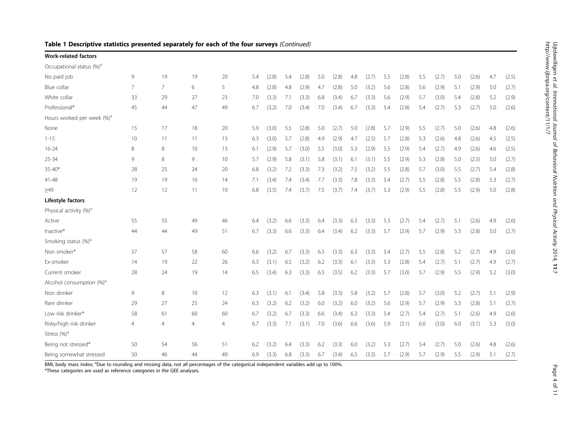| <b>Work-related factors</b>            |                |    |    |    |     |       |     |       |     |       |     |       |     |       |     |       |     |       |     |       |
|----------------------------------------|----------------|----|----|----|-----|-------|-----|-------|-----|-------|-----|-------|-----|-------|-----|-------|-----|-------|-----|-------|
| Occupational status (%) <sup>a</sup>   |                |    |    |    |     |       |     |       |     |       |     |       |     |       |     |       |     |       |     |       |
| No paid job                            | 9              | 19 | 19 | 20 | 5.4 | (2.8) | 5.4 | (2.8) | 5.0 | (2.8) | 4.8 | (2.7) | 5.5 | (2.8) | 5.5 | (2.7) | 5.0 | (2.6) | 4.7 | (2.5) |
| Blue collar                            | 7              | 7  | 6  | 5  | 4.8 | (2.8) | 4.8 | (2.9) | 4.7 | (2.8) | 5.0 | (3.2) | 5.6 | (2.8) | 5.6 | (2.9) | 5.1 | (2.9) | 5.0 | (2.7) |
| White collar                           | 33             | 29 | 27 | 23 | 7.0 | (3.3) | 7.1 | (3.3) | 6.8 | (3.4) | 6.7 | (3.3) | 5.6 | (2.9) | 5.7 | (3.0) | 5.4 | (2.8) | 5.2 | (2.9) |
| Professional*                          | 45             | 44 | 47 | 49 | 6.7 | (3.2) | 7.0 | (3.4) | 7.0 | (3.4) | 6.7 | (3.3) | 5.4 | (2.8) | 5.4 | (2.7) | 5.3 | (2.7) | 5.0 | (2.6) |
| Hours worked per week (%) <sup>a</sup> |                |    |    |    |     |       |     |       |     |       |     |       |     |       |     |       |     |       |     |       |
| None                                   | 15             | 17 | 18 | 20 | 5.9 | (3.0) | 5.5 | (2.8) | 5.0 | (2.7) | 5.0 | (2.8) | 5.7 | (2.9) | 5.5 | (2.7) | 5.0 | (2.6) | 4.8 | (2.6) |
| $1 - 15$                               | 10             | 11 | 11 | 13 | 6.3 | (3.0) | 5.7 | (2.8) | 4.9 | (2.9) | 4.7 | (2.5) | 5.7 | (2.8) | 5.3 | (2.6) | 4.8 | (2.6) | 4.5 | (2.5) |
| $16 - 24$                              | 8              | 8  | 10 | 13 | 6.1 | (2.9) | 5.7 | (3.0) | 5.5 | (3.0) | 5.3 | (2.9) | 5.5 | (2.9) | 5.4 | (2.7) | 4.9 | (2.6) | 4.6 | (2.5) |
| 25-34                                  | 9              | 8  | 9  | 10 | 5.7 | (2.9) | 5.8 | (3.1) | 5.8 | (3.1) | 6.1 | (3.1) | 5.5 | (2.9) | 5.3 | (2.8) | 5.0 | (2.5) | 5.0 | (2.7) |
| $35 - 40*$                             | 28             | 25 | 24 | 20 | 6.8 | (3.2) | 7.2 | (3.3) | 7.3 | (3.2) | 7.5 | (3.2) | 5.5 | (2.8) | 5.7 | (3.0) | 5.5 | (2.7) | 5.4 | (2.8) |
| 41-48                                  | 19             | 19 | 16 | 14 | 7.1 | (3.4) | 7.4 | (3.4) | 7.7 | (3.3) | 7.8 | (3.3) | 5.4 | (2.7) | 5.5 | (2.8) | 5.5 | (2.8) | 5.3 | (2.7) |
| >49                                    | 12             | 12 | 11 | 10 | 6.8 | (3.5) | 7.4 | (3.7) | 7.5 | (3.7) | 7.4 | (3.7) | 5.3 | (2.9) | 5.5 | (2.8) | 5.5 | (2.9) | 5.0 | (2.8) |
| Lifestyle factors                      |                |    |    |    |     |       |     |       |     |       |     |       |     |       |     |       |     |       |     |       |
| Physical activity (%) <sup>a</sup>     |                |    |    |    |     |       |     |       |     |       |     |       |     |       |     |       |     |       |     |       |
| Active                                 | 55             | 55 | 49 | 46 | 6.4 | (3.2) | 6.6 | (3.3) | 6.4 | (3.3) | 6.3 | (3.3) | 5.3 | (2.7) | 5.4 | (2.7) | 5.1 | (2.6) | 4.9 | (2.6) |
| Inactive*                              | 44             | 44 | 49 | 51 | 6.7 | (3.3) | 6.6 | (3.3) | 6.4 | (3.4) | 6.2 | (3.3) | 5.7 | (2.9) | 5.7 | (2.9) | 5.3 | (2.8) | 5.0 | (2.7) |
| Smoking status (%) <sup>a</sup>        |                |    |    |    |     |       |     |       |     |       |     |       |     |       |     |       |     |       |     |       |
| Non smoker*                            | 57             | 57 | 58 | 60 | 6.6 | (3.2) | 6.7 | (3.3) | 6.5 | (3.3) | 6.3 | (3.3) | 5.4 | (2.7) | 5.5 | (2.8) | 5.2 | (2.7) | 4.9 | (2.6) |
| Ex-smoker                              | 14             | 19 | 22 | 26 | 6.3 | (3.1) | 6.5 | (3.2) | 6.2 | (3.3) | 6.1 | (3.3) | 5.3 | (2.8) | 5.4 | (2.7) | 5.1 | (2.7) | 4.9 | (2.7) |
| Current smoker                         | 28             | 24 | 19 | 14 | 6.5 | (3.4) | 6.3 | (3.3) | 6.5 | (3.5) | 6.2 | (3.3) | 5.7 | (3.0) | 5.7 | (2.9) | 5.5 | (2.9) | 5.2 | (3.0) |
| Alcohol consumption (%) <sup>a</sup>   |                |    |    |    |     |       |     |       |     |       |     |       |     |       |     |       |     |       |     |       |
| Non drinker                            | 9              | 8  | 10 | 12 | 6.3 | (3.1) | 6.1 | (3.4) | 5.8 | (3.3) | 5.8 | (3.2) | 5.7 | (2.8) | 5.7 | (3.0) | 5.2 | (2.7) | 5.1 | (2.9) |
| Rare drinker                           | 29             | 27 | 25 | 24 | 6.3 | (3.2) | 6.2 | (3.2) | 6.0 | (3.2) | 6.0 | (3.2) | 5.6 | (2.9) | 5.7 | (2.9) | 5.3 | (2.8) | 5.1 | (2.7) |
| Low risk drinker*                      | 58             | 61 | 60 | 60 | 6.7 | (3.2) | 6.7 | (3.3) | 6.6 | (3.4) | 6.3 | (3.3) | 5.4 | (2.7) | 5.4 | (2.7) | 5.1 | (2.6) | 4.9 | (2.6) |
| Risky/high risk drinker                | $\overline{4}$ | 4  | 4  | 4  | 6.7 | (3.3) | 7.1 | (3.1) | 7.0 | (3.6) | 6.6 | (3.6) | 5.9 | (3.1) | 6.0 | (3.0) | 6.0 | (3.1) | 5.3 | (3.0) |
| Stress (%) <sup>a</sup>                |                |    |    |    |     |       |     |       |     |       |     |       |     |       |     |       |     |       |     |       |
| Being not stressed*                    | 50             | 54 | 56 | 51 | 6.2 | (3.2) | 6.4 | (3.3) | 6.2 | (3.3) | 6.0 | (3.2) | 5.3 | (2.7) | 5.4 | (2.7) | 5.0 | (2.6) | 4.8 | (2.6) |
| Being somewhat stressed                | 50             | 46 | 44 | 49 | 6.9 | (3.3) | 6.8 | (3.3) | 6.7 | (3.4) | 6.5 | (3.3) | 5.7 | (2.9) | 5.7 | (2.9) | 5.5 | (2.9) | 5.1 | (2.7) |

# Table 1 Descriptive statistics presented separately for each of the four surveys (Continued)

BMI, body mass index; <sup>a</sup>Due to rounding and missing data, not all percentages of the categorical independent variables add up to 100%.

\*These categories are used as reference categories in the GEE analyses.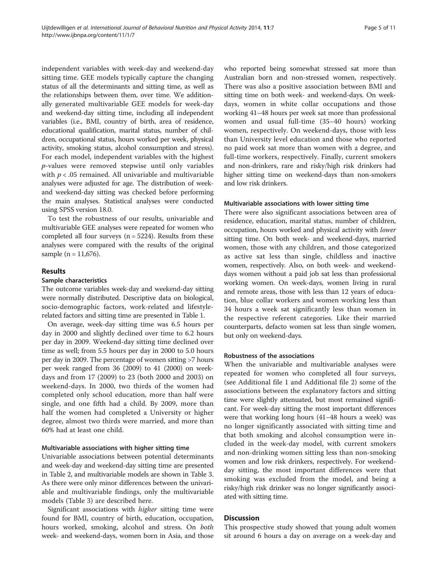independent variables with week-day and weekend-day sitting time. GEE models typically capture the changing status of all the determinants and sitting time, as well as the relationships between them, over time. We additionally generated multivariable GEE models for week-day and weekend-day sitting time, including all independent variables (i.e., BMI, country of birth, area of residence, educational qualification, marital status, number of children, occupational status, hours worked per week, physical activity, smoking status, alcohol consumption and stress). For each model, independent variables with the highest p-values were removed stepwise until only variables with  $p < .05$  remained. All univariable and multivariable analyses were adjusted for age. The distribution of weekand weekend-day sitting was checked before performing the main analyses. Statistical analyses were conducted using SPSS version 18.0.

To test the robustness of our results, univariable and multivariable GEE analyses were repeated for women who completed all four surveys  $(n = 5224)$ . Results from these analyses were compared with the results of the original sample (n = 11,676).

# Results

# Sample characteristics

The outcome variables week-day and weekend-day sitting were normally distributed. Descriptive data on biological, socio-demographic factors, work-related and lifestylerelated factors and sitting time are presented in Table [1.](#page-2-0)

On average, week-day sitting time was 6.5 hours per day in 2000 and slightly declined over time to 6.2 hours per day in 2009. Weekend-day sitting time declined over time as well; from 5.5 hours per day in 2000 to 5.0 hours per day in 2009. The percentage of women sitting >7 hours per week ranged from 36 (2009) to 41 (2000) on weekdays and from 17 (2009) to 23 (both 2000 and 2003) on weekend-days. In 2000, two thirds of the women had completed only school education, more than half were single, and one fifth had a child. By 2009, more than half the women had completed a University or higher degree, almost two thirds were married, and more than 60% had at least one child.

### Multivariable associations with higher sitting time

Univariable associations between potential determinants and week-day and weekend-day sitting time are presented in Table [2](#page-5-0), and multivariable models are shown in Table [3](#page-7-0). As there were only minor differences between the univariable and multivariable findings, only the multivariable models (Table [3](#page-7-0)) are described here.

Significant associations with higher sitting time were found for BMI, country of birth, education, occupation, hours worked, smoking, alcohol and stress. On both week- and weekend-days, women born in Asia, and those who reported being somewhat stressed sat more than Australian born and non-stressed women, respectively. There was also a positive association between BMI and sitting time on both week- and weekend-days. On weekdays, women in white collar occupations and those working 41–48 hours per week sat more than professional women and usual full-time (35–40 hours) working women, respectively. On weekend-days, those with less than University level education and those who reported no paid work sat more than women with a degree, and full-time workers, respectively. Finally, current smokers and non-drinkers, rare and risky/high risk drinkers had higher sitting time on weekend-days than non-smokers and low risk drinkers.

#### Multivariable associations with lower sitting time

There were also significant associations between area of residence, education, marital status, number of children, occupation, hours worked and physical activity with lower sitting time. On both week- and weekend-days, married women, those with any children, and those categorized as active sat less than single, childless and inactive women, respectively. Also, on both week- and weekenddays women without a paid job sat less than professional working women. On week-days, women living in rural and remote areas, those with less than 12 years of education, blue collar workers and women working less than 34 hours a week sat significantly less than women in the respective referent categories. Like their married counterparts, defacto women sat less than single women, but only on weekend-days.

#### Robustness of the associations

When the univariable and multivariable analyses were repeated for women who completed all four surveys, (see Additional file [1](#page-9-0) and Additional file [2\)](#page-9-0) some of the associations between the explanatory factors and sitting time were slightly attenuated, but most remained significant. For week-day sitting the most important differences were that working long hours (41–48 hours a week) was no longer significantly associated with sitting time and that both smoking and alcohol consumption were included in the week-day model, with current smokers and non-drinking women sitting less than non-smoking women and low risk drinkers, respectively. For weekendday sitting, the most important differences were that smoking was excluded from the model, and being a risky/high risk drinker was no longer significantly associated with sitting time.

### Discussion

This prospective study showed that young adult women sit around 6 hours a day on average on a week-day and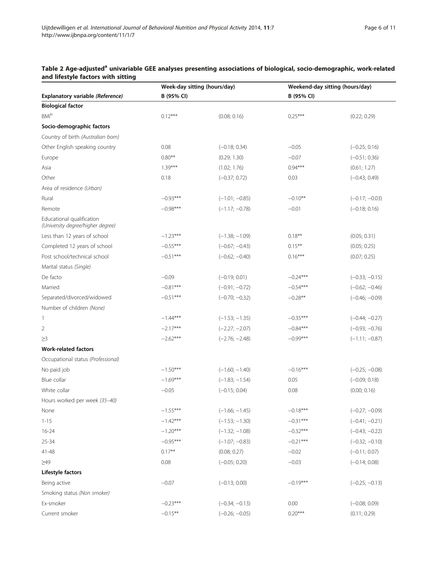#### <span id="page-5-0"></span>Table 2 Age-adjusted<sup>a</sup> univariable GEE analyses presenting associations of biological, socio-demographic, work-related and lifestyle factors with sitting  $\overline{\phantom{a}}$

|                                                                | Week-day sitting (hours/day) |                  | Weekend-day sitting (hours/day) |                  |  |  |  |
|----------------------------------------------------------------|------------------------------|------------------|---------------------------------|------------------|--|--|--|
| Explanatory variable (Reference)                               | B (95% CI)                   |                  | B (95% CI)                      |                  |  |  |  |
| <b>Biological factor</b>                                       |                              |                  |                                 |                  |  |  |  |
| <b>BMI</b> b                                                   | $0.12***$                    | (0.08; 0.16)     | $0.25***$                       | (0.22; 0.29)     |  |  |  |
| Socio-demographic factors                                      |                              |                  |                                 |                  |  |  |  |
| Country of birth (Australian born)                             |                              |                  |                                 |                  |  |  |  |
| Other English speaking country                                 | 0.08                         | $(-0.18; 0.34)$  | $-0.05$                         | $(-0.25; 0.16)$  |  |  |  |
| Europe                                                         | $0.80**$                     | (0.29; 1.30)     | $-0.07$                         | $(-0.51; 0.36)$  |  |  |  |
| Asia                                                           | $1.39***$                    | (1.02; 1.76)     | $0.94***$                       | (0.61; 1.27)     |  |  |  |
| Other                                                          | 0.18                         | $(-0.37; 0.72)$  | 0.03                            | $(-0.43; 0.49)$  |  |  |  |
| Area of residence (Urban)                                      |                              |                  |                                 |                  |  |  |  |
| Rural                                                          | $-0.93***$                   | $(-1.01; -0.85)$ | $-0.10**$                       | $(-0.17; -0.03)$ |  |  |  |
| Remote                                                         | $-0.98***$                   | $(-1.17; -0.78)$ | $-0.01$                         | $(-0.18; 0.16)$  |  |  |  |
| Educational qualification<br>(University degree/higher degree) |                              |                  |                                 |                  |  |  |  |
| Less than 12 years of school                                   | $-1.23***$                   | $(-1.38; -1.09)$ | $0.18***$                       | (0.05; 0.31)     |  |  |  |
| Completed 12 years of school                                   | $-0.55***$                   | $(-0.67; -0.43)$ | $0.15***$                       | (0.05; 0.25)     |  |  |  |
| Post school/technical school                                   | $-0.51***$                   | $(-0.62; -0.40)$ | $0.16***$                       | (0.07; 0.25)     |  |  |  |
| Marital status (Single)                                        |                              |                  |                                 |                  |  |  |  |
| De facto                                                       | $-0.09$                      | $(-0.19; 0.01)$  | $-0.24***$                      | $(-0.33; -0.15)$ |  |  |  |
| Married                                                        | $-0.81***$                   | $(-0.91; -0.72)$ | $-0.54***$                      | $(-0.62; -0.46)$ |  |  |  |
| Separated/divorced/widowed                                     | $-0.51***$                   | $(-0.70; -0.32)$ | $-0.28**$                       | $(-0.46; -0.09)$ |  |  |  |
| Number of children (None)                                      |                              |                  |                                 |                  |  |  |  |
| $\mathbf{1}$                                                   | $-1.44***$                   | $(-1.53; -1.35)$ | $-0.35***$                      | $(-0.44; -0.27)$ |  |  |  |
| 2                                                              | $-2.17***$                   | $(-2.27; -2.07)$ | $-0.84***$                      | $(-0.93; -0.76)$ |  |  |  |
| ≥3                                                             | $-2.62***$                   | $(-2.76; -2.48)$ | $-0.99***$                      | $(-1.11; -0.87)$ |  |  |  |
| <b>Work-related factors</b>                                    |                              |                  |                                 |                  |  |  |  |
| Occupational status (Professional)                             |                              |                  |                                 |                  |  |  |  |
| No paid job                                                    | $-1.50***$                   | $(-1.60; -1.40)$ | $-0.16***$                      | $(-0.25; -0.08)$ |  |  |  |
| Blue collar                                                    | $-1.69***$                   | $(-1.83; -1.54)$ | 0.05                            | $(-0.09; 0.18)$  |  |  |  |
| White collar                                                   | $-0.05$                      | $(-0.15; 0.04)$  | 0.08                            | (0.00; 0.16)     |  |  |  |
| Hours worked per week (35-40)                                  |                              |                  |                                 |                  |  |  |  |
| None                                                           | $-1.55***$                   | $(-1.66; -1.45)$ | $-0.18***$                      | $(-0.27; -0.09)$ |  |  |  |
| $1 - 15$                                                       | $-1.42***$                   | $(-1.53; -1.30)$ | $-0.31***$                      | $(-0.41; -0.21)$ |  |  |  |
| $16 - 24$                                                      | $-1.20***$                   | $(-1.32; -1.08)$ | $-0.32***$                      | $(-0.43; -0.22)$ |  |  |  |
| 25-34                                                          | $-0.95***$                   | $(-1.07; -0.83)$ | $-0.21***$                      | $(-0.32; -0.10)$ |  |  |  |
| 41-48                                                          | $0.17**$                     | (0.08; 0.27)     | $-0.02$                         | $(-0.11; 0.07)$  |  |  |  |
| $\geq 49$                                                      | 0.08                         | $(-0.05; 0.20)$  | $-0.03$                         | $(-0.14; 0.08)$  |  |  |  |
| Lifestyle factors                                              |                              |                  |                                 |                  |  |  |  |
| Being active                                                   | $-0.07$                      | $(-0.13; 0.00)$  | $-0.19***$                      | $(-0.25; -0.13)$ |  |  |  |
| Smoking status (Non smoker)                                    |                              |                  |                                 |                  |  |  |  |
| Ex-smoker                                                      | $-0.23***$                   | $(-0.34; -0.13)$ | 0.00                            | $(-0.08; 0.09)$  |  |  |  |
| Current smoker                                                 | $-0.15***$                   | $(-0.26; -0.05)$ | $0.20***$                       | (0.11; 0.29)     |  |  |  |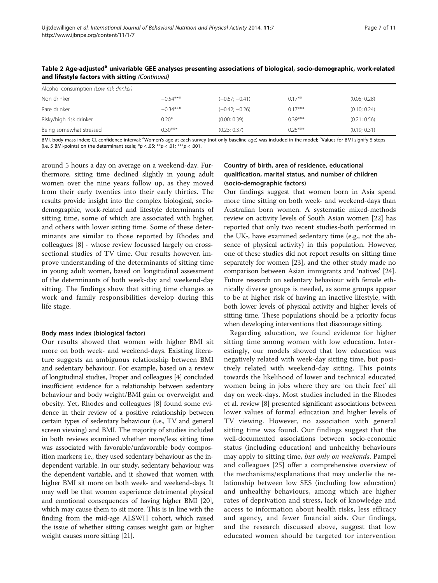| Alcohol consumption (Low risk drinker) |            |                  |           |              |  |  |  |  |  |  |
|----------------------------------------|------------|------------------|-----------|--------------|--|--|--|--|--|--|
| Non drinker                            | $-0.54***$ | $(-0.67; -0.41)$ | $0.17***$ | (0.05; 0.28) |  |  |  |  |  |  |
| Rare drinker                           | $-0.34***$ | $(-0.42; -0.26)$ | $0.17***$ | (0.10; 0.24) |  |  |  |  |  |  |
| Risky/high risk drinker                | $0.20*$    | (0.00; 0.39)     | $0.39***$ | (0.21; 0.56) |  |  |  |  |  |  |
| Being somewhat stressed                | $0.30***$  | (0.23; 0.37)     | $0.25***$ | (0.19; 0.31) |  |  |  |  |  |  |

Table 2 Age-adjusted<sup>a</sup> univariable GEE analyses presenting associations of biological, socio-demographic, work-related and lifestyle factors with sitting (Continued)

BMI, body mass index; CI, confidence interval; <sup>a</sup>Women's age at each survey (not only baseline age) was included in the model; <sup>b</sup>Values for BMI signify 5 steps (i.e. 5 BMI-points) on the determinant scale;  $*p < .05$ ;  $**p < .01$ ;  $***p < .001$ .

around 5 hours a day on average on a weekend-day. Furthermore, sitting time declined slightly in young adult women over the nine years follow up, as they moved from their early twenties into their early thirties. The results provide insight into the complex biological, sociodemographic, work-related and lifestyle determinants of sitting time, some of which are associated with higher, and others with lower sitting time. Some of these determinants are similar to those reported by Rhodes and colleagues [[8\]](#page-9-0) - whose review focussed largely on crosssectional studies of TV time. Our results however, improve understanding of the determinants of sitting time in young adult women, based on longitudinal assessment of the determinants of both week-day and weekend-day sitting. The findings show that sitting time changes as work and family responsibilities develop during this life stage.

### Body mass index (biological factor)

Our results showed that women with higher BMI sit more on both week- and weekend-days. Existing literature suggests an ambiguous relationship between BMI and sedentary behaviour. For example, based on a review of longitudinal studies, Proper and colleagues [[4](#page-9-0)] concluded insufficient evidence for a relationship between sedentary behaviour and body weight/BMI gain or overweight and obesity. Yet, Rhodes and colleagues [[8\]](#page-9-0) found some evidence in their review of a positive relationship between certain types of sedentary behaviour (i.e., TV and general screen viewing) and BMI. The majority of studies included in both reviews examined whether more/less sitting time was associated with favorable/unfavorable body composition markers; i.e., they used sedentary behaviour as the independent variable. In our study, sedentary behaviour was the dependent variable, and it showed that women with higher BMI sit more on both week- and weekend-days. It may well be that women experience detrimental physical and emotional consequences of having higher BMI [[20](#page-10-0)], which may cause them to sit more. This is in line with the finding from the mid-age ALSWH cohort, which raised the issue of whether sitting causes weight gain or higher weight causes more sitting [[21](#page-10-0)].

# Country of birth, area of residence, educational qualification, marital status, and number of children (socio-demographic factors)

Our findings suggest that women born in Asia spend more time sitting on both week- and weekend-days than Australian born women. A systematic mixed-methods review on activity levels of South Asian women [[22](#page-10-0)] has reported that only two recent studies-both performed in the UK-, have examined sedentary time (e.g., not the absence of physical activity) in this population. However, one of these studies did not report results on sitting time separately for women [[23](#page-10-0)], and the other study made no comparison between Asian immigrants and 'natives' [[24](#page-10-0)]. Future research on sedentary behaviour with female ethnically diverse groups is needed, as some groups appear to be at higher risk of having an inactive lifestyle, with both lower levels of physical activity and higher levels of sitting time. These populations should be a priority focus when developing interventions that discourage sitting.

Regarding education, we found evidence for higher sitting time among women with low education. Interestingly, our models showed that low education was negatively related with week-day sitting time, but positively related with weekend-day sitting. This points towards the likelihood of lower and technical educated women being in jobs where they are 'on their feet' all day on week-days. Most studies included in the Rhodes et al. review [[8\]](#page-9-0) presented significant associations between lower values of formal education and higher levels of TV viewing. However, no association with general sitting time was found. Our findings suggest that the well-documented associations between socio-economic status (including education) and unhealthy behaviours may apply to sitting time, but only on weekends. Pampel and colleagues [[25\]](#page-10-0) offer a comprehensive overview of the mechanisms/explanations that may underlie the relationship between low SES (including low education) and unhealthy behaviours, among which are higher rates of deprivation and stress, lack of knowledge and access to information about health risks, less efficacy and agency, and fewer financial aids. Our findings, and the research discussed above, suggest that low educated women should be targeted for intervention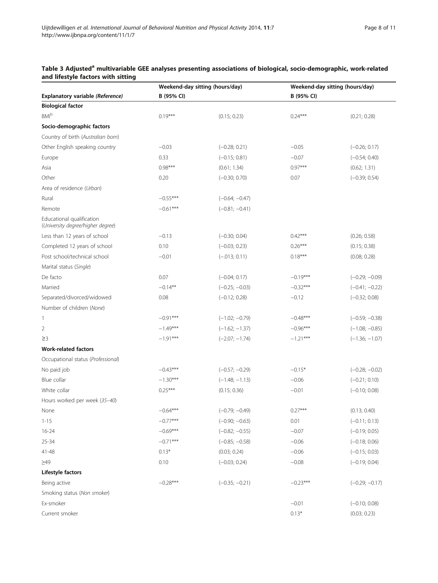# <span id="page-7-0"></span>Table 3 Adjusted<sup>a</sup> multivariable GEE analyses presenting associations of biological, socio-demographic, work-related and lifestyle factors with sitting

|                                                                |            | Weekend-day sitting (hours/day) |            | Weekend-day sitting (hours/day) |  |  |
|----------------------------------------------------------------|------------|---------------------------------|------------|---------------------------------|--|--|
| Explanatory variable (Reference)                               | B (95% CI) |                                 | B (95% CI) |                                 |  |  |
| <b>Biological factor</b>                                       |            |                                 |            |                                 |  |  |
| <b>BMI</b> b                                                   | $0.19***$  | (0.15; 0.23)                    | $0.24***$  | (0.21; 0.28)                    |  |  |
| Socio-demographic factors                                      |            |                                 |            |                                 |  |  |
| Country of birth (Australian born)                             |            |                                 |            |                                 |  |  |
| Other English speaking country                                 | $-0.03$    | $(-0.28; 0.21)$                 | $-0.05$    | $(-0.26; 0.17)$                 |  |  |
| Europe                                                         | 0.33       | $(-0.15; 0.81)$                 | $-0.07$    | $(-0.54; 0.40)$                 |  |  |
| Asia                                                           | $0.98***$  | (0.61; 1.34)                    | $0.97***$  | (0.62; 1.31)                    |  |  |
| Other                                                          | 0.20       | $(-0.30; 0.70)$                 | 0.07       | $(-0.39; 0.54)$                 |  |  |
| Area of residence (Urban)                                      |            |                                 |            |                                 |  |  |
| Rural                                                          | $-0.55***$ | $(-0.64; -0.47)$                |            |                                 |  |  |
| Remote                                                         | $-0.61***$ | $(-0.81; -0.41)$                |            |                                 |  |  |
| Educational qualification<br>(University degree/higher degree) |            |                                 |            |                                 |  |  |
| Less than 12 years of school                                   | $-0.13$    | $(-0.30; 0.04)$                 | $0.42***$  | (0.26; 0.58)                    |  |  |
| Completed 12 years of school                                   | 0.10       | $(-0.03; 0.23)$                 | $0.26***$  | (0.15; 0.38)                    |  |  |
| Post school/technical school                                   | $-0.01$    | $(-.013; 0.11)$                 | $0.18***$  | (0.08; 0.28)                    |  |  |
| Marital status (Single)                                        |            |                                 |            |                                 |  |  |
| De facto                                                       | 0.07       | $(-0.04; 0.17)$                 | $-0.19***$ | $(-0.29; -0.09)$                |  |  |
| Married                                                        | $-0.14***$ | $(-0.25; -0.03)$                | $-0.32***$ | $(-0.41; -0.22)$                |  |  |
| Separated/divorced/widowed                                     | 0.08       | $(-0.12; 0.28)$                 | $-0.12$    | $(-0.32; 0.08)$                 |  |  |
| Number of children (None)                                      |            |                                 |            |                                 |  |  |
| 1                                                              | $-0.91***$ | $(-1.02; -0.79)$                | $-0.48***$ | $(-0.59; -0.38)$                |  |  |
| 2                                                              | $-1.49***$ | $(-1.62; -1.37)$                | $-0.96***$ | $(-1.08; -0.85)$                |  |  |
| ≥3                                                             | $-1.91***$ | $(-2.07; -1.74)$                | $-1.21***$ | $(-1.36; -1.07)$                |  |  |
| <b>Work-related factors</b>                                    |            |                                 |            |                                 |  |  |
| Occupational status (Professional)                             |            |                                 |            |                                 |  |  |
| No paid job                                                    | $-0.43***$ | $(-0.57; -0.29)$                | $-0.15*$   | $(-0.28; -0.02)$                |  |  |
| Blue collar                                                    | $-1.30***$ | $(-1.48; -1.13)$                | $-0.06$    | $(-0.21; 0.10)$                 |  |  |
| White collar                                                   | $0.25***$  | (0.15; 0.36)                    | $-0.01$    | $(-0.10; 0.08)$                 |  |  |
| Hours worked per week (35-40)                                  |            |                                 |            |                                 |  |  |
| None                                                           | $-0.64***$ | $(-0.79; -0.49)$                | $0.27***$  | (0.13; 0.40)                    |  |  |
| $1 - 15$                                                       | $-0.77***$ | $(-0.90; -0.63)$                | 0.01       | $(-0.11; 0.13)$                 |  |  |
| $16 - 24$                                                      | $-0.69***$ | $(-0.82; -0.55)$                | $-0.07$    | $(-0.19; 0.05)$                 |  |  |
| 25-34                                                          | $-0.71***$ | $(-0.85; -0.58)$                | $-0.06$    | $(-0.18; 0.06)$                 |  |  |
| 41-48                                                          | $0.13*$    | (0.03; 0.24)                    | $-0.06$    | $(-0.15; 0.03)$                 |  |  |
| $\geq$ 49                                                      | 0.10       | $(-0.03; 0.24)$                 | $-0.08$    | $(-0.19; 0.04)$                 |  |  |
| Lifestyle factors                                              |            |                                 |            |                                 |  |  |
| Being active                                                   | $-0.28***$ | $(-0.35; -0.21)$                | $-0.23***$ | $(-0.29; -0.17)$                |  |  |
| Smoking status (Non smoker)                                    |            |                                 |            |                                 |  |  |
| Ex-smoker                                                      |            |                                 | $-0.01$    | $(-0.10; 0.08)$                 |  |  |
| Current smoker                                                 |            |                                 | $0.13*$    | (0.03; 0.23)                    |  |  |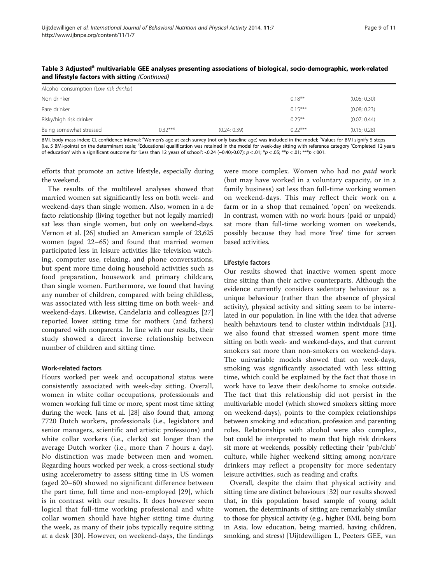| $\sim$                                 |           |              |           |              |  |  |  |  |  |  |
|----------------------------------------|-----------|--------------|-----------|--------------|--|--|--|--|--|--|
| Alcohol consumption (Low risk drinker) |           |              |           |              |  |  |  |  |  |  |
| Non drinker                            |           |              | $0.18***$ | (0.05; 0.30) |  |  |  |  |  |  |
| Rare drinker                           |           |              | $0.15***$ | (0.08; 0.23) |  |  |  |  |  |  |
| Risky/high risk drinker                |           |              | $0.25***$ | (0.07; 0.44) |  |  |  |  |  |  |
| Being somewhat stressed                | $0.32***$ | (0.24; 0.39) | $0.22***$ | (0.15; 0.28) |  |  |  |  |  |  |

Table 3 Adjusted<sup>a</sup> multivariable GEE analyses presenting associations of biological, socio-demographic, work-related and lifestyle factors with sitting (Continued)

BMI, body mass index; CI, confidence interval; <sup>a</sup>Women's age at each survey (not only baseline age) was included in the model; <sup>b</sup>Values for BMI signify 5 steps (i.e. 5 BMI-points) on the determinant scale; <sup>c</sup>Educational qualification was retained in the model for week-day sitting with reference category 'Completed 12 years of education' with a significant outcome for 'Less than 12 years of school'; -.0.24 (−0.40;-0.07); p < .01; \*p < .05; \*\*p < .01; \*\*\*p < 001.

efforts that promote an active lifestyle, especially during the weekend.

The results of the multilevel analyses showed that married women sat significantly less on both week- and weekend-days than single women. Also, women in a de facto relationship (living together but not legally married) sat less than single women, but only on weekend-days. Vernon et al. [[26](#page-10-0)] studied an American sample of 23,625 women (aged 22–65) and found that married women participated less in leisure activities like television watching, computer use, relaxing, and phone conversations, but spent more time doing household activities such as food preparation, housework and primary childcare, than single women. Furthermore, we found that having any number of children, compared with being childless, was associated with less sitting time on both week- and weekend-days. Likewise, Candelaria and colleagues [\[27](#page-10-0)] reported lower sitting time for mothers (and fathers) compared with nonparents. In line with our results, their study showed a direct inverse relationship between number of children and sitting time.

### Work-related factors

Hours worked per week and occupational status were consistently associated with week-day sitting. Overall, women in white collar occupations, professionals and women working full time or more, spent most time sitting during the week. Jans et al. [[28](#page-10-0)] also found that, among 7720 Dutch workers, professionals (i.e., legislators and senior managers, scientific and artistic professions) and white collar workers (i.e., clerks) sat longer than the average Dutch worker (i.e., more than 7 hours a day). No distinction was made between men and women. Regarding hours worked per week, a cross-sectional study using accelerometry to assess sitting time in US women (aged 20–60) showed no significant difference between the part time, full time and non-employed [[29](#page-10-0)], which is in contrast with our results. It does however seem logical that full-time working professional and white collar women should have higher sitting time during the week, as many of their jobs typically require sitting at a desk [\[30\]](#page-10-0). However, on weekend-days, the findings were more complex. Women who had no paid work (but may have worked in a voluntary capacity, or in a family business) sat less than full-time working women on weekend-days. This may reflect their work on a farm or in a shop that remained 'open' on weekends. In contrast, women with no work hours (paid or unpaid) sat more than full-time working women on weekends, possibly because they had more 'free' time for screen based activities.

## Lifestyle factors

Our results showed that inactive women spent more time sitting than their active counterparts. Although the evidence currently considers sedentary behaviour as a unique behaviour (rather than the absence of physical activity), physical activity and sitting seem to be interrelated in our population. In line with the idea that adverse health behaviours tend to cluster within individuals [[31](#page-10-0)], we also found that stressed women spent more time sitting on both week- and weekend-days, and that current smokers sat more than non-smokers on weekend-days. The univariable models showed that on week-days, smoking was significantly associated with less sitting time, which could be explained by the fact that those in work have to leave their desk/home to smoke outside. The fact that this relationship did not persist in the multivariable model (which showed smokers sitting more on weekend-days), points to the complex relationships between smoking and education, profession and parenting roles. Relationships with alcohol were also complex, but could be interpreted to mean that high risk drinkers sit more at weekends, possibly reflecting their 'pub/club' culture, while higher weekend sitting among non/rare drinkers may reflect a propensity for more sedentary leisure activities, such as reading and crafts.

Overall, despite the claim that physical activity and sitting time are distinct behaviours [\[32\]](#page-10-0) our results showed that, in this population based sample of young adult women, the determinants of sitting are remarkably similar to those for physical activity (e.g., higher BMI, being born in Asia, low education, being married, having children, smoking, and stress) [Uijtdewilligen L, Peeters GEE, van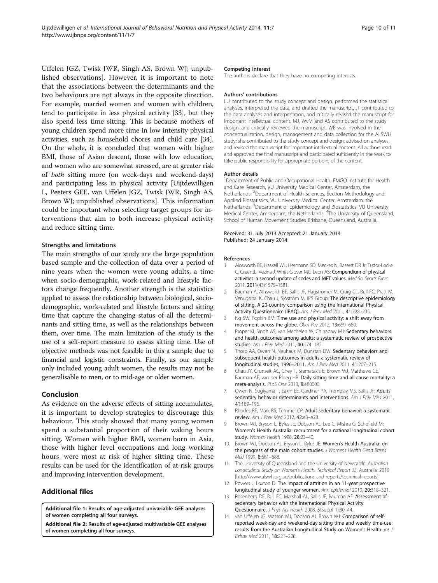<span id="page-9-0"></span>Uffelen JGZ, Twisk JWR, Singh AS, Brown WJ; unpublished observations]. However, it is important to note that the associations between the determinants and the two behaviours are not always in the opposite direction. For example, married women and women with children, tend to participate in less physical activity [[33](#page-10-0)], but they also spend less time sitting. This is because mothers of young children spend more time in low intensity physical activities, such as household chores and child care [[34](#page-10-0)]. On the whole, it is concluded that women with higher BMI, those of Asian descent, those with low education, and women who are somewhat stressed, are at greater risk of both sitting more (on week-days and weekend-days) and participating less in physical activity [Uijtdewilligen L, Peeters GEE, van Uffelen JGZ, Twisk JWR, Singh AS, Brown WJ; unpublished observations]. This information could be important when selecting target groups for interventions that aim to both increase physical activity and reduce sitting time.

### Strengths and limitations

The main strengths of our study are the large population based sample and the collection of data over a period of nine years when the women were young adults; a time when socio-demographic, work-related and lifestyle factors change frequently. Another strength is the statistics applied to assess the relationship between biological, sociodemographic, work-related and lifestyle factors and sitting time that capture the changing status of all the determinants and sitting time, as well as the relationships between them, over time. The main limitation of the study is the use of a self-report measure to assess sitting time. Use of objective methods was not feasible in this a sample due to financial and logistic constraints. Finally, as our sample only included young adult women, the results may not be generalisable to men, or to mid-age or older women.

# Conclusion

As evidence on the adverse effects of sitting accumulates, it is important to develop strategies to discourage this behaviour. This study showed that many young women spend a substantial proportion of their waking hours sitting. Women with higher BMI, women born in Asia, those with higher level occupations and long working hours, were most at risk of higher sitting time. These results can be used for the identification of at-risk groups and improving intervention development.

# Additional files

[Additional file 1:](http://www.biomedcentral.com/content/supplementary/1479-5868-11-7-S1.doc) Results of age-adjusted univariable GEE analyses of women completing all four surveys.

[Additional file 2:](http://www.biomedcentral.com/content/supplementary/1479-5868-11-7-S2.doc) Results of age-adjusted multivariable GEE analyses of women completing all four surveys.

#### Competing interest

The authors declare that they have no competing interests.

#### Authors' contributions

LU contributed to the study concept and design, performed the statistical analyses, interpreted the data, and drafted the manuscript. JT contributed to the data analyses and interpretation, and critically revised the manuscript for important intellectual content. MJ, WvM and AS contributed to the study design, and critically reviewed the manuscript. WB was involved in the conceptualization, design, management and data collection for the ALSWH study; she contributed to the study concept and design, advised on analyses, and revised the manuscript for important intellectual content. All authors read and approved the final manuscript and participated sufficiently in the work to take public responsibility for appropriate portions of the content.

#### Author details

<sup>1</sup>Department of Public and Occupational Health, EMGO Institute for Health and Care Research, VU University Medical Center, Amsterdam, the Netherlands. <sup>2</sup>Department of Health Sciences, Section Methodology and Applied Biostatistics, VU University Medical Center, Amsterdam, the Netherlands. <sup>3</sup>Department of Epidemiology and Biostatistics, VU University Medical Center, Amsterdam, the Netherlands. <sup>4</sup>The University of Queensland School of Human Movement Studies Brisbane, Queensland, Australia.

#### Received: 31 July 2013 Accepted: 21 January 2014 Published: 24 January 2014

#### References

- 1. Ainsworth BE, Haskell WL, Herrmann SD, Meckes N, Bassett DR Jr, Tudor-Locke C, Greer JL, Vezina J, Whitt-Glover MC, Leon AS: Compendium of physical activities: a second update of codes and MET values. Med Sci Sports Exerc 2011, 2011(43):1575–1581.
- 2. Bauman A, Ainsworth BE, Sallis JF, Hagströmer M, Craig CL, Bull FC, Pratt M, Venugopal K, Chau J, Sjöström M, IPS Group: The descriptive epidemiology of sitting. A 20-country comparison using the International Physical Activity Questionnaire (IPAQ). Am J Prev Med 2011, 41:228–235.
- 3. Ng SW, Popkin BM: Time use and physical activity: a shift away from movement across the globe. Obes Rev 2012, 13:659–680.
- 4. Proper KI, Singh AS, van Mechelen W, Chinapaw MJ: Sedentary behaviors and health outcomes among adults: a systematic review of prospective studies. Am J Prev Med 2011, 40:174–182.
- 5. Thorp AA, Owen N, Neuhaus M, Dunstan DW: Sedentary behaviors and subsequent health outcomes in adults a systematic review of longitudinal studies, 1996–2011. Am J Prev Med 2011, 41:207–215.
- 6. Chau JY, Grunseit AC, Chey T, Stamatakis E, Brown WJ, Matthews CE, Bauman AE, van der Ploeg HP: Daily sitting time and all-cause mortality: a meta-analysis. PLoS One 2013, 8:e80000.
- 7. Owen N, Sugiyama T, Eakin EE, Gardiner PA, Tremblay MS, Sallis JF: Adults' sedentary behavior determinants and interventions. Am J Prev Med 2011, 41:189–196.
- 8. Rhodes RE, Mark RS, Temmel CP: Adult sedentary behavior: a systematic review. Am J Prev Med 2012, 42:e3–e28.
- 9. Brown WJ, Bryson L, Byles JE, Dobson AJ, Lee C, Mishra G, Schofield M: Women's Health Australia: recruitment for a national longitudinal cohort study. Women Health 1998, 28:23–40.
- 10. Brown WJ, Dobson AJ, Bryson L, Byles JE: Women's Health Australia: on the progress of the main cohort studies. J Womens Health Gend Based Med 1999, 8:681–688.
- 11. The University of Queensland and the University of Newcastle: Australian Longitudinal Study on Women's Health. Technical Report 33. Australia; 2010 [<http://www.alswh.org.au/publications-and-reports/technical-reports>]
- 12. Powers J, Loxton D: The impact of attrition in an 11-year prospective longitudinal study of younger women. Ann Epidemiol 2010, 20:318–321.
- 13. Rosenberg DE, Bull FC, Marshall AL, Sallis JF, Bauman AE: Assessment of sedentary behavior with the International Physical Activity Questionnaire. J Phys Act Health 2008, 5(Suppl 1):30–44.
- 14. van Uffelen JG, Watson MJ, Dobson AJ, Brown WJ: Comparison of selfreported week-day and weekend-day sitting time and weekly time-use: results from the Australian Longitudinal Study on Women's Health. Int J Behav Med 2011, 18:221–228.